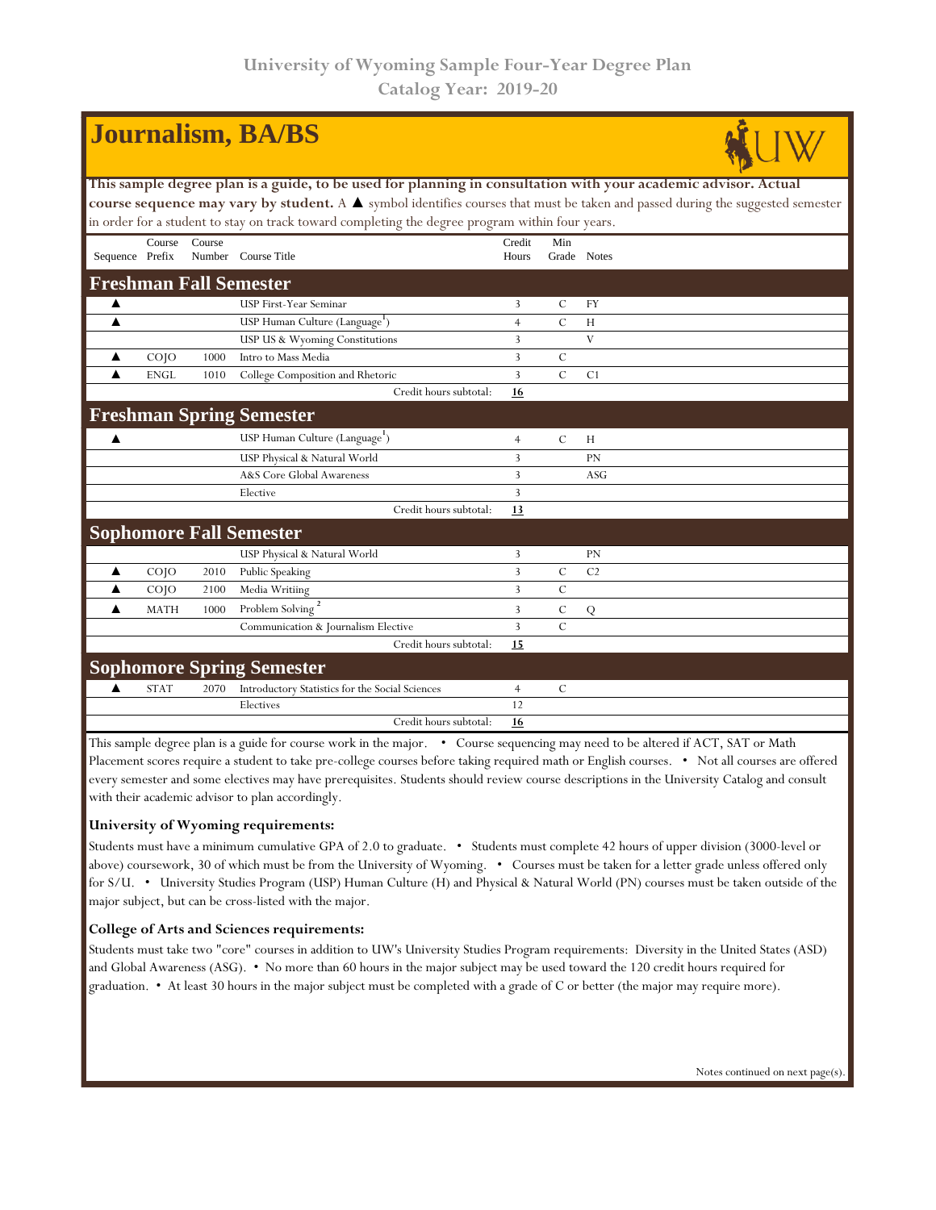|                                                                                                                                |                   |        | <b>Journalism, BA/BS</b>                        |                |               |                |  |  |  |  |
|--------------------------------------------------------------------------------------------------------------------------------|-------------------|--------|-------------------------------------------------|----------------|---------------|----------------|--|--|--|--|
| This sample degree plan is a guide, to be used for planning in consultation with your academic advisor. Actual                 |                   |        |                                                 |                |               |                |  |  |  |  |
| course sequence may vary by student. A ▲ symbol identifies courses that must be taken and passed during the suggested semester |                   |        |                                                 |                |               |                |  |  |  |  |
| in order for a student to stay on track toward completing the degree program within four years.                                |                   |        |                                                 |                |               |                |  |  |  |  |
|                                                                                                                                | Course            | Course |                                                 | Credit         | Min           |                |  |  |  |  |
| Sequence Prefix                                                                                                                |                   |        | Number Course Title                             | Hours          |               | Grade Notes    |  |  |  |  |
| <b>Freshman Fall Semester</b>                                                                                                  |                   |        |                                                 |                |               |                |  |  |  |  |
| ▲                                                                                                                              |                   |        | USP First-Year Seminar                          | $\overline{3}$ | $\mathbf C$   | FY             |  |  |  |  |
| ▲                                                                                                                              |                   |        | USP Human Culture (Language <sup>1</sup> )      | $\overline{4}$ | $\mathcal{C}$ | H              |  |  |  |  |
|                                                                                                                                |                   |        | USP US & Wyoming Constitutions                  | $\overline{3}$ |               | V              |  |  |  |  |
| ▲                                                                                                                              | CO <sub>1</sub> O | 1000   | Intro to Mass Media                             | 3              | $\mathcal{C}$ |                |  |  |  |  |
| ▲                                                                                                                              | <b>ENGL</b>       | 1010   | College Composition and Rhetoric                | 3              | $\mathcal{C}$ | C1             |  |  |  |  |
|                                                                                                                                |                   |        | Credit hours subtotal:                          | 16             |               |                |  |  |  |  |
|                                                                                                                                |                   |        | <b>Freshman Spring Semester</b>                 |                |               |                |  |  |  |  |
| ▲                                                                                                                              |                   |        | USP Human Culture (Language <sup>1</sup> )      | $\overline{4}$ | C             | H              |  |  |  |  |
|                                                                                                                                |                   |        | USP Physical & Natural World                    | 3              |               | <b>PN</b>      |  |  |  |  |
|                                                                                                                                |                   |        | A&S Core Global Awareness                       | 3              |               | ASG            |  |  |  |  |
|                                                                                                                                |                   |        | Elective                                        | 3              |               |                |  |  |  |  |
|                                                                                                                                |                   |        | Credit hours subtotal:                          | 13             |               |                |  |  |  |  |
|                                                                                                                                |                   |        | <b>Sophomore Fall Semester</b>                  |                |               |                |  |  |  |  |
|                                                                                                                                |                   |        | USP Physical & Natural World                    | 3              |               | PN             |  |  |  |  |
|                                                                                                                                | CO <sub>1</sub> O | 2010   | Public Speaking                                 | $\overline{3}$ | $\mathcal{C}$ | C <sub>2</sub> |  |  |  |  |
| ▲                                                                                                                              | COJO              | 2100   | Media Writiing                                  | 3              | $\mathcal{C}$ |                |  |  |  |  |
| ▲                                                                                                                              | <b>MATH</b>       | 1000   | Problem Solving <sup>2</sup>                    | 3              | $\mathcal{C}$ | Q              |  |  |  |  |
|                                                                                                                                |                   |        | Communication & Journalism Elective             | $\overline{3}$ | $\mathcal{C}$ |                |  |  |  |  |
|                                                                                                                                |                   |        | Credit hours subtotal:                          | 15             |               |                |  |  |  |  |
| <b>Sophomore Spring Semester</b>                                                                                               |                   |        |                                                 |                |               |                |  |  |  |  |
| ▲                                                                                                                              | <b>STAT</b>       | 2070   | Introductory Statistics for the Social Sciences | $\overline{4}$ | C             |                |  |  |  |  |
|                                                                                                                                |                   |        | Electives                                       | 12             |               |                |  |  |  |  |
|                                                                                                                                |                   |        | Credit hours subtotal:                          | 16             |               |                |  |  |  |  |

This sample degree plan is a guide for course work in the major. • Course sequencing may need to be altered if ACT, SAT or Math Placement scores require a student to take pre-college courses before taking required math or English courses. • Not all courses are offered every semester and some electives may have prerequisites. Students should review course descriptions in the University Catalog and consult with their academic advisor to plan accordingly.

## **University of Wyoming requirements:**

Students must have a minimum cumulative GPA of 2.0 to graduate. • Students must complete 42 hours of upper division (3000-level or above) coursework, 30 of which must be from the University of Wyoming. • Courses must be taken for a letter grade unless offered only for S/U. • University Studies Program (USP) Human Culture (H) and Physical & Natural World (PN) courses must be taken outside of the major subject, but can be cross-listed with the major.

## **College of Arts and Sciences requirements:**

Students must take two "core" courses in addition to UW's University Studies Program requirements: Diversity in the United States (ASD) and Global Awareness (ASG). • No more than 60 hours in the major subject may be used toward the 120 credit hours required for graduation. • At least 30 hours in the major subject must be completed with a grade of C or better (the major may require more).